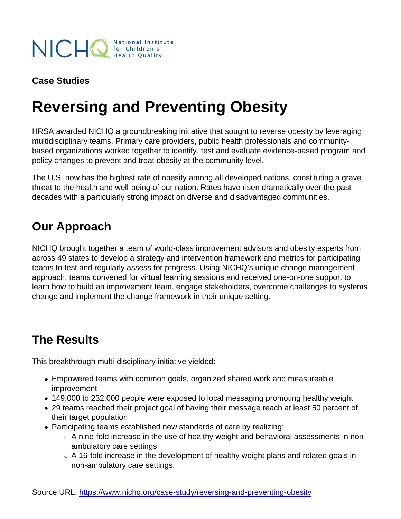Case Studies

# Reversing and Preventing Obesity

HRSA awarded NICHQ a groundbreaking initiative that sought to reverse obesity by leveraging multidisciplinary teams. Primary care providers, public health professionals and communitybased organizations worked together to identify, test and evaluate evidence-based program and policy changes to prevent and treat obesity at the community level.

The U.S. now has the highest rate of obesity among all developed nations, constituting a grave threat to the health and well-being of our nation. Rates have risen dramatically over the past decades with a particularly strong impact on diverse and disadvantaged communities.

## Our Approach

NICHQ brought together a team of world-class improvement advisors and obesity experts from across 49 states to develop a strategy and intervention framework and metrics for participating teams to test and regularly assess for progress. Using NICHQ's unique change management approach, teams convened for virtual learning sessions and received one-on-one support to learn how to build an improvement team, engage stakeholders, overcome challenges to systems change and implement the change framework in their unique setting.

### The Results

This breakthrough multi-disciplinary initiative yielded:

- Empowered teams with common goals, organized shared work and measureable improvement
- 149,000 to 232,000 people were exposed to local messaging promoting healthy weight
- 29 teams reached their project goal of having their message reach at least 50 percent of their target population
- Participating teams established new standards of care by realizing:
	- $\circ$  A nine-fold increase in the use of healthy weight and behavioral assessments in nonambulatory care settings
	- $\circ$  A 16-fold increase in the development of healthy weight plans and related goals in non-ambulatory care settings.